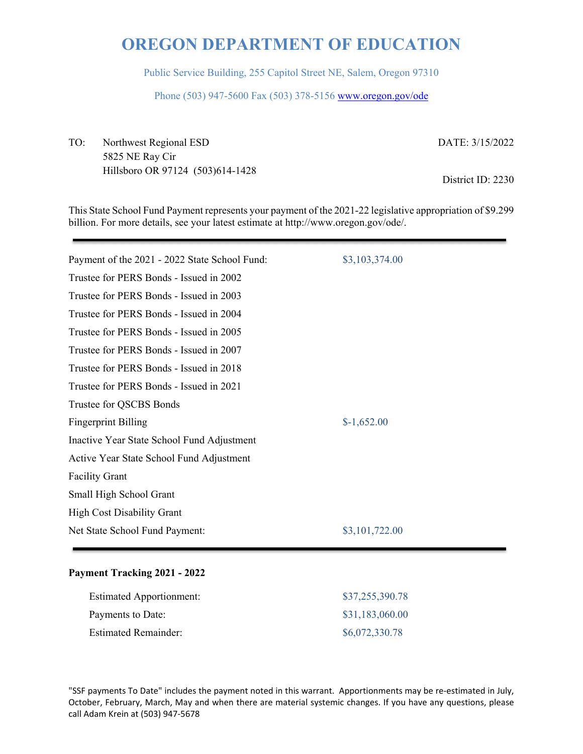Public Service Building, 255 Capitol Street NE, Salem, Oregon 97310

Phone (503) 947-5600 Fax (503) 378-5156 www.oregon.gov/ode

TO: Northwest Regional ESD 5825 NE Ray Cir Hillsboro OR 97124 (503)614-1428 DATE: 3/15/2022

District ID: 2230

This State School Fund Payment represents your payment of the 2021-22 legislative appropriation of \$9.299 billion. For more details, see your latest estimate at http://www.oregon.gov/ode/.

| Payment of the 2021 - 2022 State School Fund: | \$3,103,374.00 |
|-----------------------------------------------|----------------|
| Trustee for PERS Bonds - Issued in 2002       |                |
| Trustee for PERS Bonds - Issued in 2003       |                |
| Trustee for PERS Bonds - Issued in 2004       |                |
| Trustee for PERS Bonds - Issued in 2005       |                |
| Trustee for PERS Bonds - Issued in 2007       |                |
| Trustee for PERS Bonds - Issued in 2018       |                |
| Trustee for PERS Bonds - Issued in 2021       |                |
| Trustee for QSCBS Bonds                       |                |
| <b>Fingerprint Billing</b>                    | $$-1,652.00$   |
| Inactive Year State School Fund Adjustment    |                |
| Active Year State School Fund Adjustment      |                |
| <b>Facility Grant</b>                         |                |
| Small High School Grant                       |                |
| <b>High Cost Disability Grant</b>             |                |
| Net State School Fund Payment:                | \$3,101,722.00 |
|                                               |                |

### **Payment Tracking 2021 - 2022**

| <b>Estimated Apportionment:</b> | \$37,255,390.78 |
|---------------------------------|-----------------|
| Payments to Date:               | \$31,183,060.00 |
| <b>Estimated Remainder:</b>     | \$6,072,330.78  |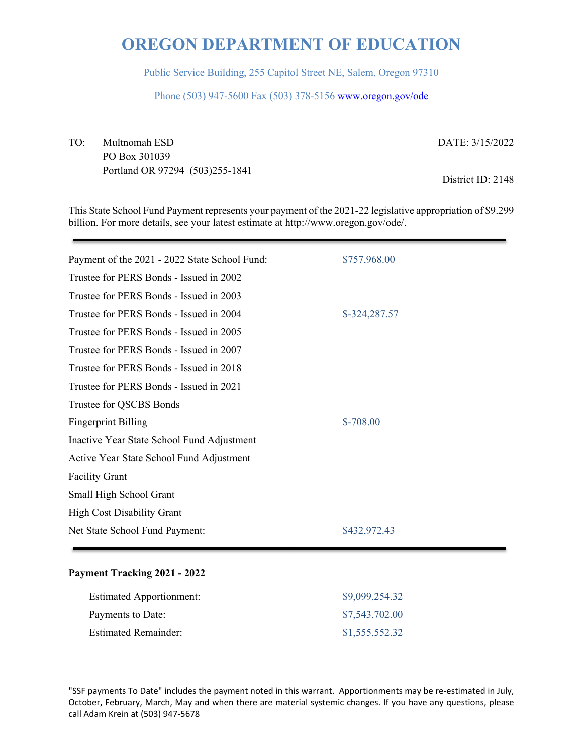Public Service Building, 255 Capitol Street NE, Salem, Oregon 97310

Phone (503) 947-5600 Fax (503) 378-5156 www.oregon.gov/ode

TO: Multnomah ESD PO Box 301039 Portland OR 97294 (503)255-1841 DATE: 3/15/2022

District ID: 2148

This State School Fund Payment represents your payment of the 2021-22 legislative appropriation of \$9.299 billion. For more details, see your latest estimate at http://www.oregon.gov/ode/.

| Payment of the 2021 - 2022 State School Fund: | \$757,968.00  |
|-----------------------------------------------|---------------|
| Trustee for PERS Bonds - Issued in 2002       |               |
| Trustee for PERS Bonds - Issued in 2003       |               |
| Trustee for PERS Bonds - Issued in 2004       | \$-324,287.57 |
| Trustee for PERS Bonds - Issued in 2005       |               |
| Trustee for PERS Bonds - Issued in 2007       |               |
| Trustee for PERS Bonds - Issued in 2018       |               |
| Trustee for PERS Bonds - Issued in 2021       |               |
| Trustee for QSCBS Bonds                       |               |
| <b>Fingerprint Billing</b>                    | $$-708.00$    |
| Inactive Year State School Fund Adjustment    |               |
| Active Year State School Fund Adjustment      |               |
| <b>Facility Grant</b>                         |               |
| Small High School Grant                       |               |
| <b>High Cost Disability Grant</b>             |               |
| Net State School Fund Payment:                | \$432,972.43  |
|                                               |               |

### **Payment Tracking 2021 - 2022**

| <b>Estimated Apportionment:</b> | \$9,099,254.32 |
|---------------------------------|----------------|
| Payments to Date:               | \$7,543,702.00 |
| <b>Estimated Remainder:</b>     | \$1,555,552.32 |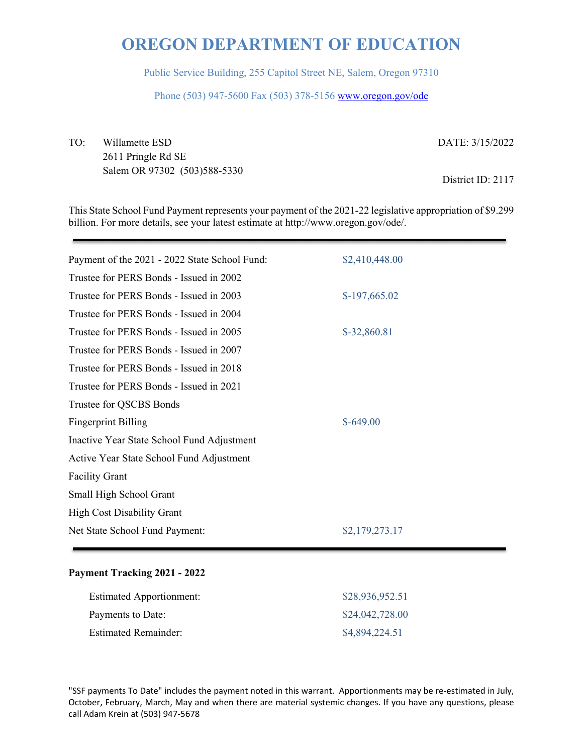Public Service Building, 255 Capitol Street NE, Salem, Oregon 97310

Phone (503) 947-5600 Fax (503) 378-5156 www.oregon.gov/ode

TO: Willamette ESD 2611 Pringle Rd SE Salem OR 97302 (503)588-5330 DATE: 3/15/2022 District ID: 2117

This State School Fund Payment represents your payment of the 2021-22 legislative appropriation of \$9.299 billion. For more details, see your latest estimate at http://www.oregon.gov/ode/.

| Payment of the 2021 - 2022 State School Fund: | \$2,410,448.00 |
|-----------------------------------------------|----------------|
| Trustee for PERS Bonds - Issued in 2002       |                |
| Trustee for PERS Bonds - Issued in 2003       | $$-197,665.02$ |
| Trustee for PERS Bonds - Issued in 2004       |                |
| Trustee for PERS Bonds - Issued in 2005       | \$-32,860.81   |
| Trustee for PERS Bonds - Issued in 2007       |                |
| Trustee for PERS Bonds - Issued in 2018       |                |
| Trustee for PERS Bonds - Issued in 2021       |                |
| Trustee for QSCBS Bonds                       |                |
| <b>Fingerprint Billing</b>                    | $$-649.00$     |
| Inactive Year State School Fund Adjustment    |                |
| Active Year State School Fund Adjustment      |                |
| <b>Facility Grant</b>                         |                |
| Small High School Grant                       |                |
| <b>High Cost Disability Grant</b>             |                |
| Net State School Fund Payment:                | \$2,179,273.17 |
|                                               |                |

### **Payment Tracking 2021 - 2022**

| <b>Estimated Apportionment:</b> | \$28,936,952.51 |
|---------------------------------|-----------------|
| Payments to Date:               | \$24,042,728.00 |
| <b>Estimated Remainder:</b>     | \$4,894,224.51  |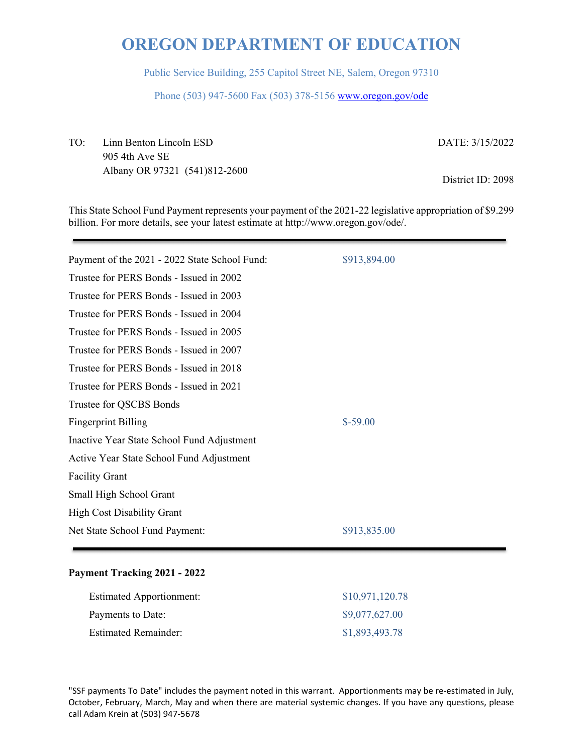Public Service Building, 255 Capitol Street NE, Salem, Oregon 97310

Phone (503) 947-5600 Fax (503) 378-5156 www.oregon.gov/ode

TO: Linn Benton Lincoln ESD 905 4th Ave SE Albany OR 97321 (541)812-2600 DATE: 3/15/2022

District ID: 2098

This State School Fund Payment represents your payment of the 2021-22 legislative appropriation of \$9.299 billion. For more details, see your latest estimate at http://www.oregon.gov/ode/.

| Payment of the 2021 - 2022 State School Fund: | \$913,894.00 |
|-----------------------------------------------|--------------|
| Trustee for PERS Bonds - Issued in 2002       |              |
| Trustee for PERS Bonds - Issued in 2003       |              |
| Trustee for PERS Bonds - Issued in 2004       |              |
| Trustee for PERS Bonds - Issued in 2005       |              |
| Trustee for PERS Bonds - Issued in 2007       |              |
| Trustee for PERS Bonds - Issued in 2018       |              |
| Trustee for PERS Bonds - Issued in 2021       |              |
| Trustee for QSCBS Bonds                       |              |
| <b>Fingerprint Billing</b>                    | $$-59.00$    |
| Inactive Year State School Fund Adjustment    |              |
| Active Year State School Fund Adjustment      |              |
| <b>Facility Grant</b>                         |              |
| Small High School Grant                       |              |
| <b>High Cost Disability Grant</b>             |              |
| Net State School Fund Payment:                | \$913,835.00 |
|                                               |              |

### **Payment Tracking 2021 - 2022**

| <b>Estimated Apportionment:</b> | \$10,971,120.78 |
|---------------------------------|-----------------|
| Payments to Date:               | \$9,077,627.00  |
| <b>Estimated Remainder:</b>     | \$1,893,493.78  |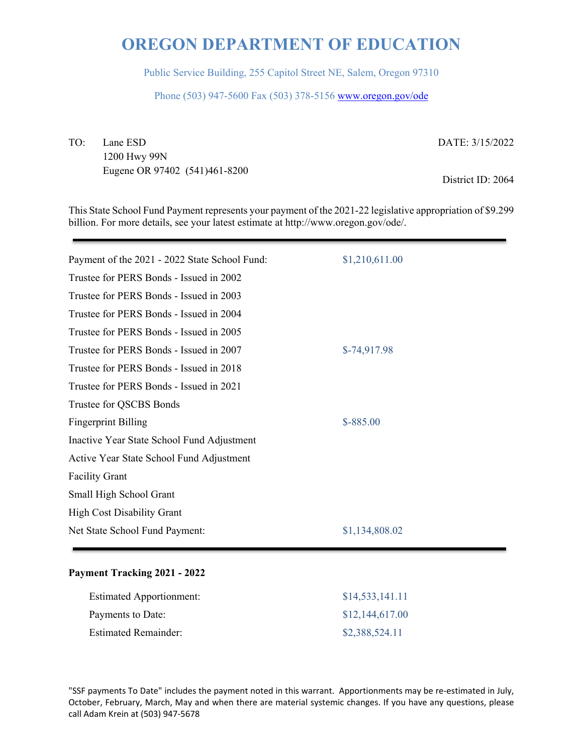Public Service Building, 255 Capitol Street NE, Salem, Oregon 97310

Phone (503) 947-5600 Fax (503) 378-5156 www.oregon.gov/ode

TO: Lane ESD

1200 Hwy 99N Eugene OR 97402 (541)461-8200 DATE: 3/15/2022

District ID: 2064

This State School Fund Payment represents your payment of the 2021-22 legislative appropriation of \$9.299 billion. For more details, see your latest estimate at http://www.oregon.gov/ode/.

| Payment of the 2021 - 2022 State School Fund: | \$1,210,611.00 |
|-----------------------------------------------|----------------|
| Trustee for PERS Bonds - Issued in 2002       |                |
| Trustee for PERS Bonds - Issued in 2003       |                |
| Trustee for PERS Bonds - Issued in 2004       |                |
| Trustee for PERS Bonds - Issued in 2005       |                |
| Trustee for PERS Bonds - Issued in 2007       | $$-74,917.98$  |
| Trustee for PERS Bonds - Issued in 2018       |                |
| Trustee for PERS Bonds - Issued in 2021       |                |
| Trustee for QSCBS Bonds                       |                |
| <b>Fingerprint Billing</b>                    | $$ -885.00$    |
| Inactive Year State School Fund Adjustment    |                |
| Active Year State School Fund Adjustment      |                |
| <b>Facility Grant</b>                         |                |
| Small High School Grant                       |                |
| <b>High Cost Disability Grant</b>             |                |
| Net State School Fund Payment:                | \$1,134,808.02 |
|                                               |                |

### **Payment Tracking 2021 - 2022**

| <b>Estimated Apportionment:</b> | \$14,533,141.11 |
|---------------------------------|-----------------|
| Payments to Date:               | \$12,144,617.00 |
| <b>Estimated Remainder:</b>     | \$2,388,524.11  |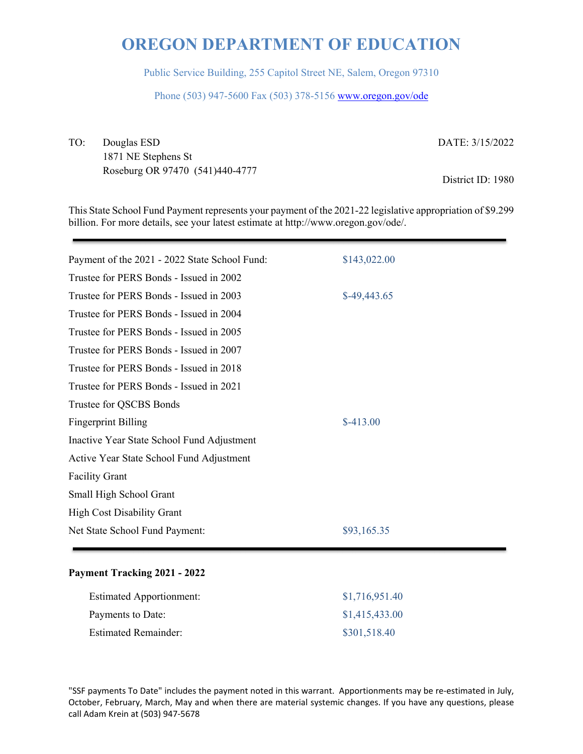Public Service Building, 255 Capitol Street NE, Salem, Oregon 97310

Phone (503) 947-5600 Fax (503) 378-5156 www.oregon.gov/ode

TO: Douglas ESD 1871 NE Stephens St Roseburg OR 97470 (541)440-4777

DATE: 3/15/2022

District ID: 1980

This State School Fund Payment represents your payment of the 2021-22 legislative appropriation of \$9.299 billion. For more details, see your latest estimate at http://www.oregon.gov/ode/.

| Payment of the 2021 - 2022 State School Fund: | \$143,022.00  |
|-----------------------------------------------|---------------|
| Trustee for PERS Bonds - Issued in 2002       |               |
| Trustee for PERS Bonds - Issued in 2003       | $$-49,443.65$ |
| Trustee for PERS Bonds - Issued in 2004       |               |
| Trustee for PERS Bonds - Issued in 2005       |               |
| Trustee for PERS Bonds - Issued in 2007       |               |
| Trustee for PERS Bonds - Issued in 2018       |               |
| Trustee for PERS Bonds - Issued in 2021       |               |
| Trustee for QSCBS Bonds                       |               |
| <b>Fingerprint Billing</b>                    | $$-413.00$    |
| Inactive Year State School Fund Adjustment    |               |
| Active Year State School Fund Adjustment      |               |
| <b>Facility Grant</b>                         |               |
| Small High School Grant                       |               |
| <b>High Cost Disability Grant</b>             |               |
| Net State School Fund Payment:                | \$93,165.35   |
|                                               |               |

### **Payment Tracking 2021 - 2022**

| <b>Estimated Apportionment:</b> | \$1,716,951.40 |
|---------------------------------|----------------|
| Payments to Date:               | \$1,415,433.00 |
| <b>Estimated Remainder:</b>     | \$301,518.40   |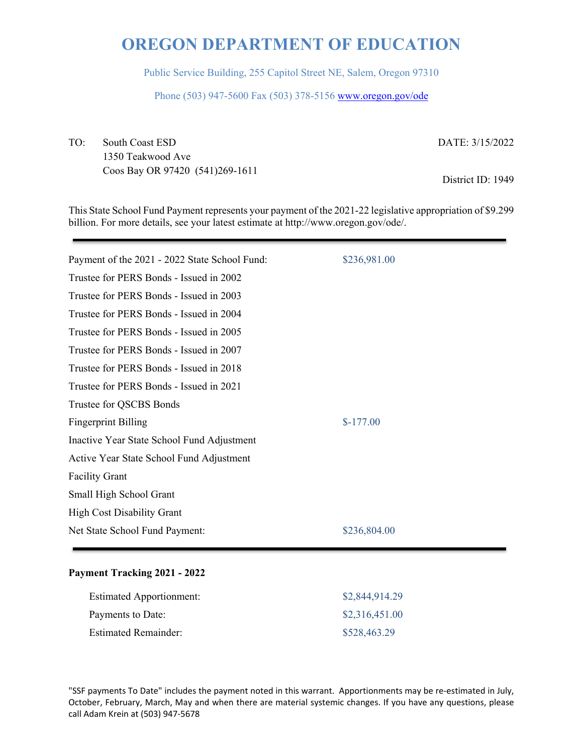Public Service Building, 255 Capitol Street NE, Salem, Oregon 97310

Phone (503) 947-5600 Fax (503) 378-5156 www.oregon.gov/ode

TO: South Coast ESD 1350 Teakwood Ave Coos Bay OR 97420 (541)269-1611 DATE: 3/15/2022

District ID: 1949

This State School Fund Payment represents your payment of the 2021-22 legislative appropriation of \$9.299 billion. For more details, see your latest estimate at http://www.oregon.gov/ode/.

| Payment of the 2021 - 2022 State School Fund: | \$236,981.00 |
|-----------------------------------------------|--------------|
| Trustee for PERS Bonds - Issued in 2002       |              |
| Trustee for PERS Bonds - Issued in 2003       |              |
| Trustee for PERS Bonds - Issued in 2004       |              |
| Trustee for PERS Bonds - Issued in 2005       |              |
| Trustee for PERS Bonds - Issued in 2007       |              |
| Trustee for PERS Bonds - Issued in 2018       |              |
| Trustee for PERS Bonds - Issued in 2021       |              |
| Trustee for QSCBS Bonds                       |              |
| <b>Fingerprint Billing</b>                    | $$-177.00$   |
| Inactive Year State School Fund Adjustment    |              |
| Active Year State School Fund Adjustment      |              |
| <b>Facility Grant</b>                         |              |
| Small High School Grant                       |              |
| <b>High Cost Disability Grant</b>             |              |
| Net State School Fund Payment:                | \$236,804.00 |
|                                               |              |

### **Payment Tracking 2021 - 2022**

| <b>Estimated Apportionment:</b> | \$2,844,914.29 |
|---------------------------------|----------------|
| Payments to Date:               | \$2,316,451.00 |
| <b>Estimated Remainder:</b>     | \$528,463.29   |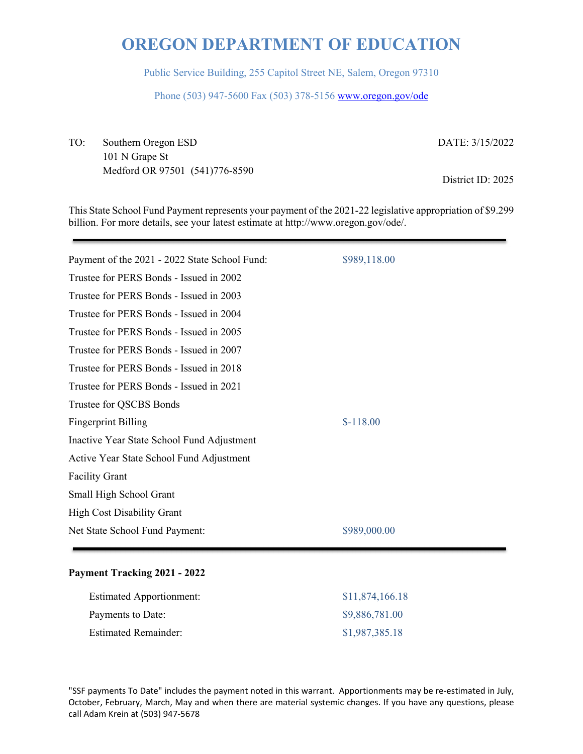Public Service Building, 255 Capitol Street NE, Salem, Oregon 97310

Phone (503) 947-5600 Fax (503) 378-5156 www.oregon.gov/ode

TO: Southern Oregon ESD 101 N Grape St Medford OR 97501 (541)776-8590 DATE: 3/15/2022

District ID: 2025

This State School Fund Payment represents your payment of the 2021-22 legislative appropriation of \$9.299 billion. For more details, see your latest estimate at http://www.oregon.gov/ode/.

| Payment of the 2021 - 2022 State School Fund: | \$989,118.00 |
|-----------------------------------------------|--------------|
| Trustee for PERS Bonds - Issued in 2002       |              |
| Trustee for PERS Bonds - Issued in 2003       |              |
| Trustee for PERS Bonds - Issued in 2004       |              |
| Trustee for PERS Bonds - Issued in 2005       |              |
| Trustee for PERS Bonds - Issued in 2007       |              |
| Trustee for PERS Bonds - Issued in 2018       |              |
| Trustee for PERS Bonds - Issued in 2021       |              |
| Trustee for QSCBS Bonds                       |              |
| <b>Fingerprint Billing</b>                    | $$-118.00$   |
| Inactive Year State School Fund Adjustment    |              |
| Active Year State School Fund Adjustment      |              |
| <b>Facility Grant</b>                         |              |
| Small High School Grant                       |              |
| <b>High Cost Disability Grant</b>             |              |
| Net State School Fund Payment:                | \$989,000.00 |
|                                               |              |

### **Payment Tracking 2021 - 2022**

| <b>Estimated Apportionment:</b> | \$11,874,166.18 |
|---------------------------------|-----------------|
| Payments to Date:               | \$9,886,781.00  |
| <b>Estimated Remainder:</b>     | \$1,987,385.18  |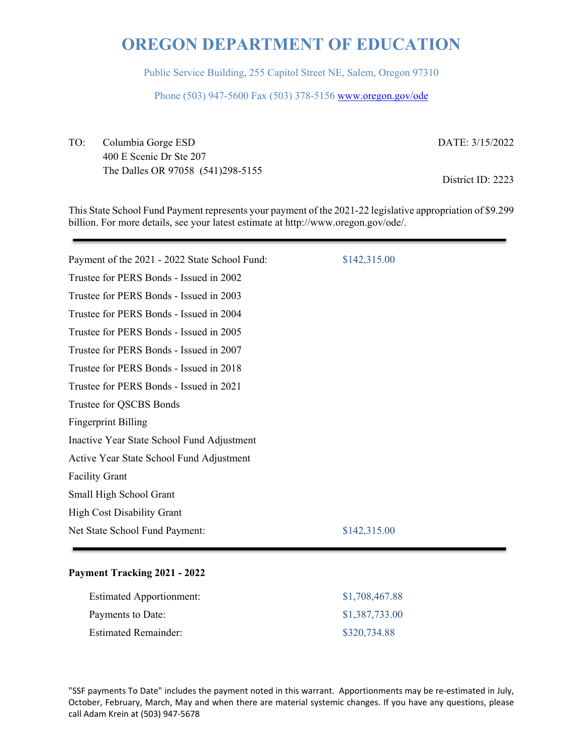Public Service Building, 255 Capitol Street NE, Salem, Oregon 97310

Phone (503) 947-5600 Fax (503) 378-5156 www.oregon.gov/ode

TO: Columbia Gorge ESD 400 E Scenic Dr Ste 207 The Dalles OR 97058 (541)298-5155 DATE: 3/15/2022

District ID: 2223

This State School Fund Payment represents your payment of the 2021-22 legislative appropriation of \$9.299 billion. For more details, see your latest estimate at http://www.oregon.gov/ode/.

| Payment of the 2021 - 2022 State School Fund: | \$142,315.00 |
|-----------------------------------------------|--------------|
| Trustee for PERS Bonds - Issued in 2002       |              |
| Trustee for PERS Bonds - Issued in 2003       |              |
| Trustee for PERS Bonds - Issued in 2004       |              |
| Trustee for PERS Bonds - Issued in 2005       |              |
| Trustee for PERS Bonds - Issued in 2007       |              |
| Trustee for PERS Bonds - Issued in 2018       |              |
| Trustee for PERS Bonds - Issued in 2021       |              |
| Trustee for QSCBS Bonds                       |              |
| <b>Fingerprint Billing</b>                    |              |
| Inactive Year State School Fund Adjustment    |              |
| Active Year State School Fund Adjustment      |              |
| <b>Facility Grant</b>                         |              |
| Small High School Grant                       |              |
| <b>High Cost Disability Grant</b>             |              |
| Net State School Fund Payment:                | \$142,315.00 |
|                                               |              |

### **Payment Tracking 2021 - 2022**

| <b>Estimated Apportionment:</b> | \$1,708,467.88 |
|---------------------------------|----------------|
| Payments to Date:               | \$1,387,733.00 |
| <b>Estimated Remainder:</b>     | \$320,734.88   |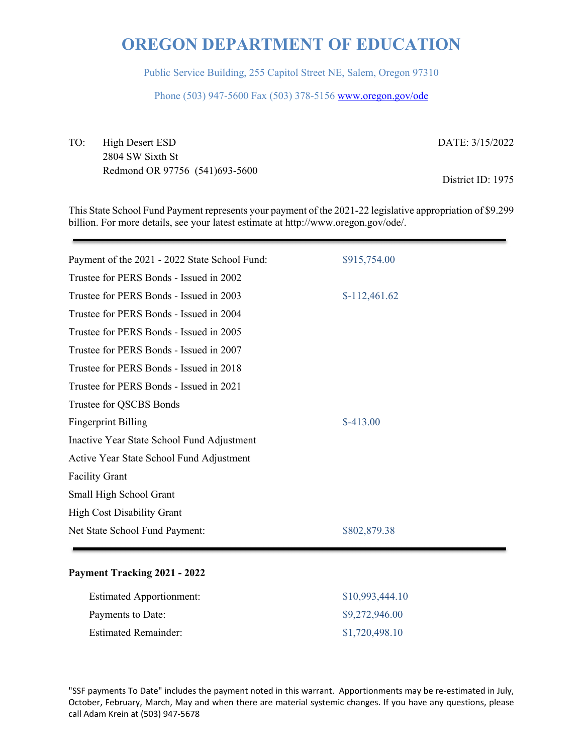Public Service Building, 255 Capitol Street NE, Salem, Oregon 97310

Phone (503) 947-5600 Fax (503) 378-5156 www.oregon.gov/ode

TO: High Desert ESD 2804 SW Sixth St Redmond OR 97756 (541)693-5600 DATE: 3/15/2022

District ID: 1975

This State School Fund Payment represents your payment of the 2021-22 legislative appropriation of \$9.299 billion. For more details, see your latest estimate at http://www.oregon.gov/ode/.

| Payment of the 2021 - 2022 State School Fund: | \$915,754.00   |
|-----------------------------------------------|----------------|
| Trustee for PERS Bonds - Issued in 2002       |                |
| Trustee for PERS Bonds - Issued in 2003       | $$-112,461.62$ |
| Trustee for PERS Bonds - Issued in 2004       |                |
| Trustee for PERS Bonds - Issued in 2005       |                |
| Trustee for PERS Bonds - Issued in 2007       |                |
| Trustee for PERS Bonds - Issued in 2018       |                |
| Trustee for PERS Bonds - Issued in 2021       |                |
| Trustee for QSCBS Bonds                       |                |
| <b>Fingerprint Billing</b>                    | $$-413.00$     |
| Inactive Year State School Fund Adjustment    |                |
| Active Year State School Fund Adjustment      |                |
| <b>Facility Grant</b>                         |                |
| Small High School Grant                       |                |
| <b>High Cost Disability Grant</b>             |                |
| Net State School Fund Payment:                | \$802,879.38   |
|                                               |                |

### **Payment Tracking 2021 - 2022**

| <b>Estimated Apportionment:</b> | \$10,993,444.10 |
|---------------------------------|-----------------|
| Payments to Date:               | \$9,272,946.00  |
| <b>Estimated Remainder:</b>     | \$1,720,498.10  |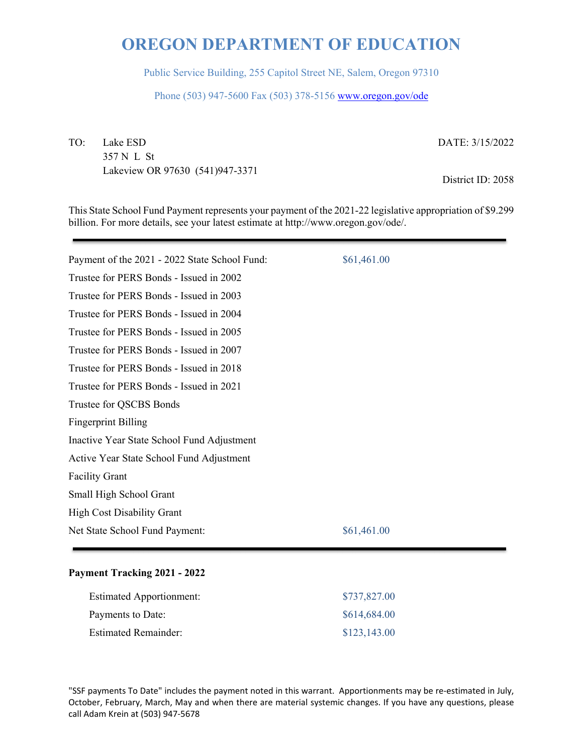Public Service Building, 255 Capitol Street NE, Salem, Oregon 97310

Phone (503) 947-5600 Fax (503) 378-5156 www.oregon.gov/ode

TO: Lake ESD 357 N L St Lakeview OR 97630 (541)947-3371

DATE: 3/15/2022

District ID: 2058

This State School Fund Payment represents your payment of the 2021-22 legislative appropriation of \$9.299 billion. For more details, see your latest estimate at http://www.oregon.gov/ode/.

| Payment of the 2021 - 2022 State School Fund: | \$61,461.00 |
|-----------------------------------------------|-------------|
| Trustee for PERS Bonds - Issued in 2002       |             |
| Trustee for PERS Bonds - Issued in 2003       |             |
| Trustee for PERS Bonds - Issued in 2004       |             |
| Trustee for PERS Bonds - Issued in 2005       |             |
| Trustee for PERS Bonds - Issued in 2007       |             |
| Trustee for PERS Bonds - Issued in 2018       |             |
| Trustee for PERS Bonds - Issued in 2021       |             |
| Trustee for QSCBS Bonds                       |             |
| <b>Fingerprint Billing</b>                    |             |
| Inactive Year State School Fund Adjustment    |             |
| Active Year State School Fund Adjustment      |             |
| <b>Facility Grant</b>                         |             |
| Small High School Grant                       |             |
| <b>High Cost Disability Grant</b>             |             |
| Net State School Fund Payment:                | \$61,461.00 |
|                                               |             |

### **Payment Tracking 2021 - 2022**

| <b>Estimated Apportionment:</b> | \$737,827.00 |
|---------------------------------|--------------|
| Payments to Date:               | \$614,684.00 |
| <b>Estimated Remainder:</b>     | \$123,143.00 |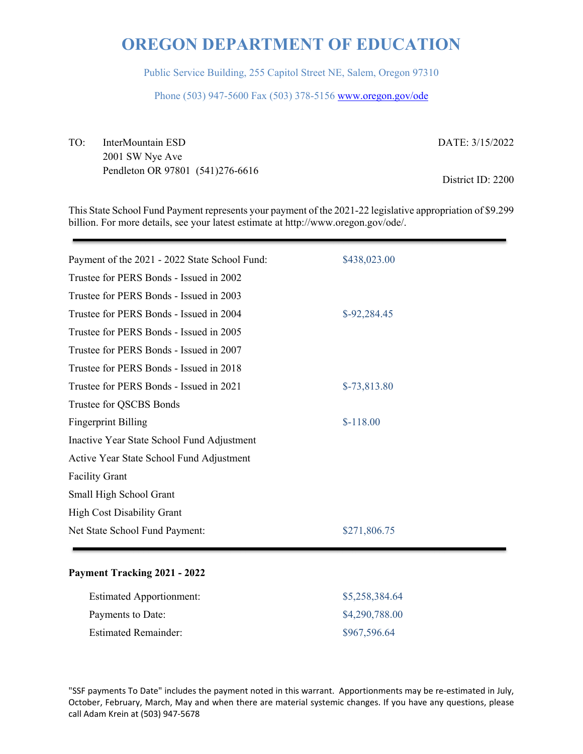Public Service Building, 255 Capitol Street NE, Salem, Oregon 97310

Phone (503) 947-5600 Fax (503) 378-5156 www.oregon.gov/ode

TO: InterMountain ESD 2001 SW Nye Ave Pendleton OR 97801 (541)276-6616 DATE: 3/15/2022 District ID: 2200

This State School Fund Payment represents your payment of the 2021-22 legislative appropriation of \$9.299 billion. For more details, see your latest estimate at http://www.oregon.gov/ode/.

| Payment of the 2021 - 2022 State School Fund: | \$438,023.00  |
|-----------------------------------------------|---------------|
| Trustee for PERS Bonds - Issued in 2002       |               |
| Trustee for PERS Bonds - Issued in 2003       |               |
| Trustee for PERS Bonds - Issued in 2004       | $$-92,284.45$ |
| Trustee for PERS Bonds - Issued in 2005       |               |
| Trustee for PERS Bonds - Issued in 2007       |               |
| Trustee for PERS Bonds - Issued in 2018       |               |
| Trustee for PERS Bonds - Issued in 2021       | $$-73,813.80$ |
| Trustee for QSCBS Bonds                       |               |
| <b>Fingerprint Billing</b>                    | $$-118.00$    |
| Inactive Year State School Fund Adjustment    |               |
| Active Year State School Fund Adjustment      |               |
| <b>Facility Grant</b>                         |               |
| Small High School Grant                       |               |
| <b>High Cost Disability Grant</b>             |               |
| Net State School Fund Payment:                | \$271,806.75  |
|                                               |               |

### **Payment Tracking 2021 - 2022**

| <b>Estimated Apportionment:</b> | \$5,258,384.64 |
|---------------------------------|----------------|
| Payments to Date:               | \$4,290,788.00 |
| <b>Estimated Remainder:</b>     | \$967,596.64   |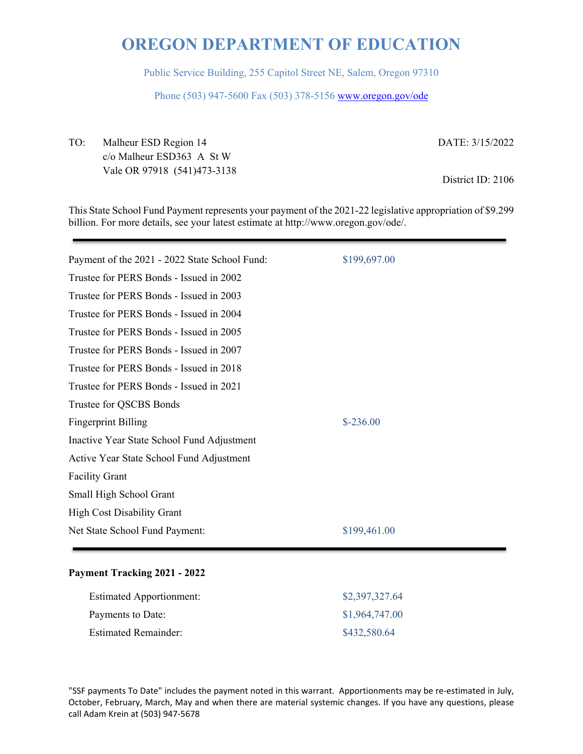Public Service Building, 255 Capitol Street NE, Salem, Oregon 97310

Phone (503) 947-5600 Fax (503) 378-5156 www.oregon.gov/ode

TO: Malheur ESD Region 14 c/o Malheur ESD363 A St W Vale OR 97918 (541)473-3138 DATE: 3/15/2022

District ID: 2106

This State School Fund Payment represents your payment of the 2021-22 legislative appropriation of \$9.299 billion. For more details, see your latest estimate at http://www.oregon.gov/ode/.

| Payment of the 2021 - 2022 State School Fund: | \$199,697.00 |
|-----------------------------------------------|--------------|
| Trustee for PERS Bonds - Issued in 2002       |              |
| Trustee for PERS Bonds - Issued in 2003       |              |
| Trustee for PERS Bonds - Issued in 2004       |              |
| Trustee for PERS Bonds - Issued in 2005       |              |
| Trustee for PERS Bonds - Issued in 2007       |              |
| Trustee for PERS Bonds - Issued in 2018       |              |
| Trustee for PERS Bonds - Issued in 2021       |              |
| Trustee for QSCBS Bonds                       |              |
| <b>Fingerprint Billing</b>                    | $$-236.00$   |
| Inactive Year State School Fund Adjustment    |              |
| Active Year State School Fund Adjustment      |              |
| <b>Facility Grant</b>                         |              |
| Small High School Grant                       |              |
| <b>High Cost Disability Grant</b>             |              |
| Net State School Fund Payment:                | \$199,461.00 |
|                                               |              |

### **Payment Tracking 2021 - 2022**

| <b>Estimated Apportionment:</b> | \$2,397,327.64 |
|---------------------------------|----------------|
| Payments to Date:               | \$1,964,747.00 |
| <b>Estimated Remainder:</b>     | \$432,580.64   |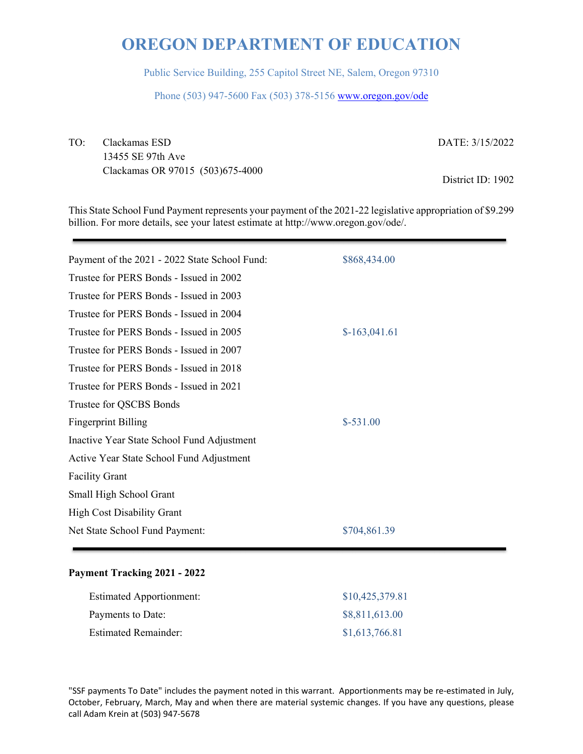Public Service Building, 255 Capitol Street NE, Salem, Oregon 97310

Phone (503) 947-5600 Fax (503) 378-5156 www.oregon.gov/ode

TO: Clackamas ESD 13455 SE 97th Ave Clackamas OR 97015 (503)675-4000 DATE: 3/15/2022

District ID: 1902

This State School Fund Payment represents your payment of the 2021-22 legislative appropriation of \$9.299 billion. For more details, see your latest estimate at http://www.oregon.gov/ode/.

| Payment of the 2021 - 2022 State School Fund: | \$868,434.00   |
|-----------------------------------------------|----------------|
| Trustee for PERS Bonds - Issued in 2002       |                |
| Trustee for PERS Bonds - Issued in 2003       |                |
| Trustee for PERS Bonds - Issued in 2004       |                |
| Trustee for PERS Bonds - Issued in 2005       | $$-163,041.61$ |
| Trustee for PERS Bonds - Issued in 2007       |                |
| Trustee for PERS Bonds - Issued in 2018       |                |
| Trustee for PERS Bonds - Issued in 2021       |                |
| Trustee for QSCBS Bonds                       |                |
| <b>Fingerprint Billing</b>                    | $$-531.00$     |
| Inactive Year State School Fund Adjustment    |                |
| Active Year State School Fund Adjustment      |                |
| <b>Facility Grant</b>                         |                |
| Small High School Grant                       |                |
| <b>High Cost Disability Grant</b>             |                |
| Net State School Fund Payment:                | \$704,861.39   |
|                                               |                |

### **Payment Tracking 2021 - 2022**

| <b>Estimated Apportionment:</b> | \$10,425,379.81 |
|---------------------------------|-----------------|
| Payments to Date:               | \$8,811,613.00  |
| <b>Estimated Remainder:</b>     | \$1,613,766.81  |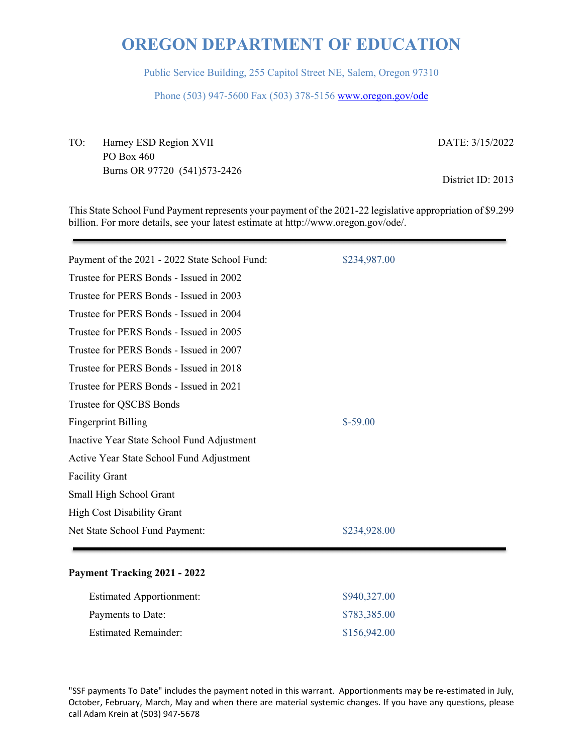Public Service Building, 255 Capitol Street NE, Salem, Oregon 97310

Phone (503) 947-5600 Fax (503) 378-5156 www.oregon.gov/ode

TO: Harney ESD Region XVII PO Box 460 Burns OR 97720 (541)573-2426 DATE: 3/15/2022

District ID: 2013

This State School Fund Payment represents your payment of the 2021-22 legislative appropriation of \$9.299 billion. For more details, see your latest estimate at http://www.oregon.gov/ode/.

| Payment of the 2021 - 2022 State School Fund: | \$234,987.00 |
|-----------------------------------------------|--------------|
| Trustee for PERS Bonds - Issued in 2002       |              |
| Trustee for PERS Bonds - Issued in 2003       |              |
| Trustee for PERS Bonds - Issued in 2004       |              |
| Trustee for PERS Bonds - Issued in 2005       |              |
| Trustee for PERS Bonds - Issued in 2007       |              |
| Trustee for PERS Bonds - Issued in 2018       |              |
| Trustee for PERS Bonds - Issued in 2021       |              |
| Trustee for QSCBS Bonds                       |              |
| <b>Fingerprint Billing</b>                    | $$-59.00$    |
| Inactive Year State School Fund Adjustment    |              |
| Active Year State School Fund Adjustment      |              |
| <b>Facility Grant</b>                         |              |
| Small High School Grant                       |              |
| <b>High Cost Disability Grant</b>             |              |
| Net State School Fund Payment:                | \$234,928.00 |

### **Payment Tracking 2021 - 2022**

| <b>Estimated Apportionment:</b> | \$940,327.00 |
|---------------------------------|--------------|
| Payments to Date:               | \$783,385.00 |
| <b>Estimated Remainder:</b>     | \$156,942.00 |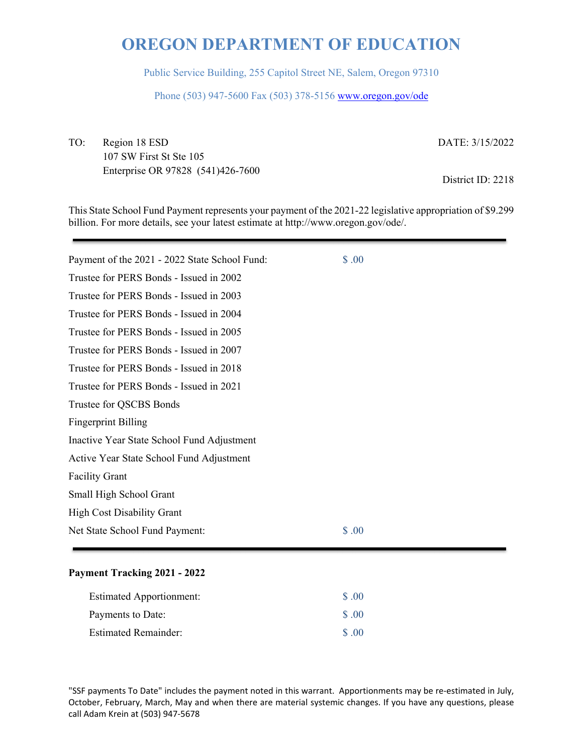Public Service Building, 255 Capitol Street NE, Salem, Oregon 97310

Phone (503) 947-5600 Fax (503) 378-5156 www.oregon.gov/ode

TO: Region 18 ESD 107 SW First St Ste 105 Enterprise OR 97828 (541)426-7600 DATE: 3/15/2022

District ID: 2218

This State School Fund Payment represents your payment of the 2021-22 legislative appropriation of \$9.299 billion. For more details, see your latest estimate at http://www.oregon.gov/ode/.

| Payment of the 2021 - 2022 State School Fund: | \$.00 |
|-----------------------------------------------|-------|
| Trustee for PERS Bonds - Issued in 2002       |       |
| Trustee for PERS Bonds - Issued in 2003       |       |
| Trustee for PERS Bonds - Issued in 2004       |       |
| Trustee for PERS Bonds - Issued in 2005       |       |
| Trustee for PERS Bonds - Issued in 2007       |       |
| Trustee for PERS Bonds - Issued in 2018       |       |
| Trustee for PERS Bonds - Issued in 2021       |       |
| Trustee for QSCBS Bonds                       |       |
| <b>Fingerprint Billing</b>                    |       |
| Inactive Year State School Fund Adjustment    |       |
| Active Year State School Fund Adjustment      |       |
| <b>Facility Grant</b>                         |       |
| Small High School Grant                       |       |
| <b>High Cost Disability Grant</b>             |       |
| Net State School Fund Payment:                | \$.00 |
|                                               |       |

### **Payment Tracking 2021 - 2022**

| <b>Estimated Apportionment:</b> | \$ .00            |
|---------------------------------|-------------------|
| Payments to Date:               | $\Omega$ $\Omega$ |
| <b>Estimated Remainder:</b>     | $\Omega$ $\Omega$ |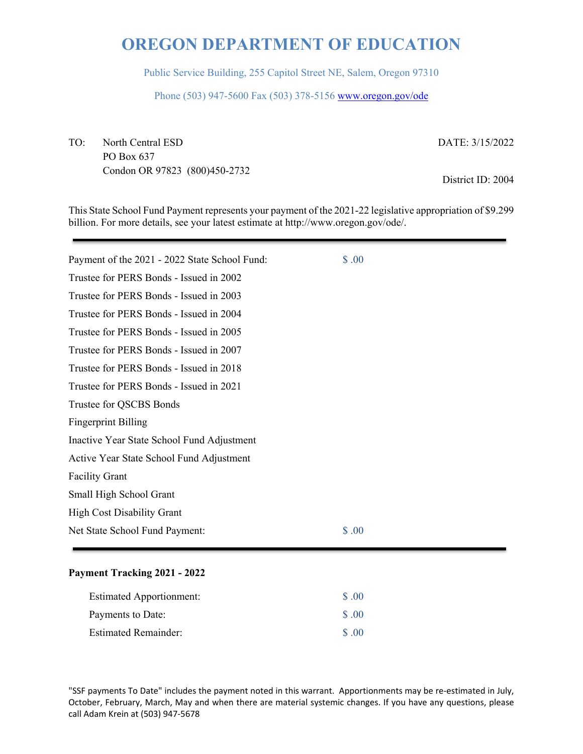Public Service Building, 255 Capitol Street NE, Salem, Oregon 97310

Phone (503) 947-5600 Fax (503) 378-5156 www.oregon.gov/ode

TO: North Central ESD PO Box 637 Condon OR 97823 (800)450-2732 DATE: 3/15/2022

District ID: 2004

This State School Fund Payment represents your payment of the 2021-22 legislative appropriation of \$9.299 billion. For more details, see your latest estimate at http://www.oregon.gov/ode/.

| \$.00 |
|-------|
|       |
|       |
|       |
|       |
|       |
|       |
|       |
|       |
|       |
|       |
|       |
|       |
|       |
|       |
| \$.00 |
|       |

### **Payment Tracking 2021 - 2022**

| <b>Estimated Apportionment:</b> | \$ .00            |
|---------------------------------|-------------------|
| Payments to Date:               | $\Omega$ .00      |
| <b>Estimated Remainder:</b>     | $\Omega$ $\Omega$ |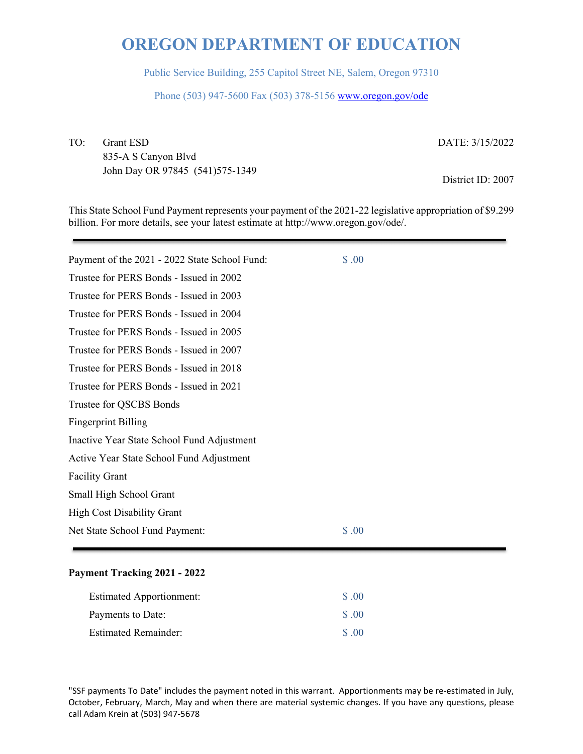Public Service Building, 255 Capitol Street NE, Salem, Oregon 97310

Phone (503) 947-5600 Fax (503) 378-5156 www.oregon.gov/ode

TO: Grant ESD 835-A S Canyon Blvd John Day OR 97845 (541)575-1349

DATE: 3/15/2022

District ID: 2007

This State School Fund Payment represents your payment of the 2021-22 legislative appropriation of \$9.299 billion. For more details, see your latest estimate at http://www.oregon.gov/ode/.

| Payment of the 2021 - 2022 State School Fund: | \$.00 |
|-----------------------------------------------|-------|
| Trustee for PERS Bonds - Issued in 2002       |       |
| Trustee for PERS Bonds - Issued in 2003       |       |
| Trustee for PERS Bonds - Issued in 2004       |       |
| Trustee for PERS Bonds - Issued in 2005       |       |
| Trustee for PERS Bonds - Issued in 2007       |       |
| Trustee for PERS Bonds - Issued in 2018       |       |
| Trustee for PERS Bonds - Issued in 2021       |       |
| Trustee for QSCBS Bonds                       |       |
| <b>Fingerprint Billing</b>                    |       |
| Inactive Year State School Fund Adjustment    |       |
| Active Year State School Fund Adjustment      |       |
| <b>Facility Grant</b>                         |       |
| Small High School Grant                       |       |
| <b>High Cost Disability Grant</b>             |       |
| Net State School Fund Payment:                | \$.00 |

#### **Payment Tracking 2021 - 2022**

| <b>Estimated Apportionment:</b> | \$ .00            |
|---------------------------------|-------------------|
| Payments to Date:               | \$ .00            |
| <b>Estimated Remainder:</b>     | $\Omega$ $\Omega$ |